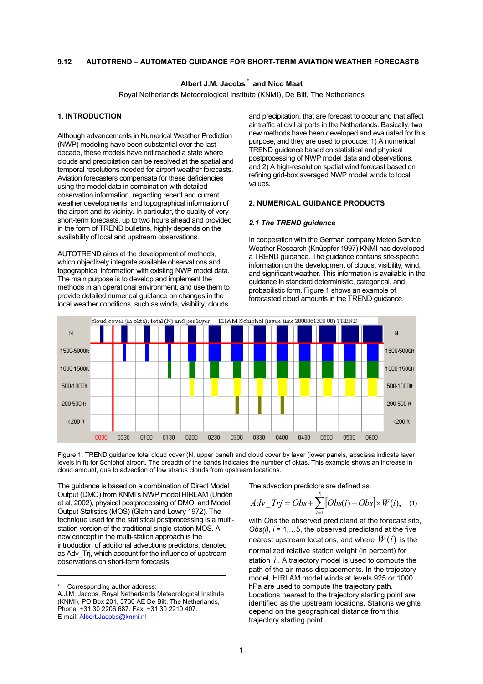### **9.12 AUTOTREND – AUTOMATED GUIDANCE FOR SHORT-TERM AVIATION WEATHER FORECASTS**

# **Albert J.M. Jacobs** <sup>∗</sup>  **and Nico Maat**

Royal Netherlands Meteorological Institute (KNMI), De Bilt, The Netherlands

### **1. INTRODUCTION**

Although advancements in Numerical Weather Prediction (NWP) modeling have been substantial over the last decade, these models have not reached a state where clouds and precipitation can be resolved at the spatial and temporal resolutions needed for airport weather forecasts. Aviation forecasters compensate for these deficiencies using the model data in combination with detailed observation information, regarding recent and current weather developments, and topographical information of the airport and its vicinity. In particular, the quality of very short-term forecasts, up to two hours ahead and provided in the form of TREND bulletins, highly depends on the availability of local and upstream observations.

AUTOTREND aims at the development of methods, which objectively integrate available observations and topographical information with existing NWP model data. The main purpose is to develop and implement the methods in an operational environment, and use them to provide detailed numerical guidance on changes in the local weather conditions, such as winds, visibility, clouds

and precipitation, that are forecast to occur and that affect air traffic at civil airports in the Netherlands. Basically, two new methods have been developed and evaluated for this purpose, and they are used to produce: 1) A numerical TREND guidance based on statistical and physical postprocessing of NWP model data and observations, and 2) A high-resolution spatial wind forecast based on refining grid-box averaged NWP model winds to local values.

### **2. NUMERICAL GUIDANCE PRODUCTS**

#### *2.1 The TREND guidance*

In cooperation with the German company Meteo Service Weather Research (Knüppfer 1997) KNMI has developed a TREND guidance. The guidance contains site-specific information on the development of clouds, visibility, wind, and significant weather. This information is available in the guidance in standard deterministic, categorical, and probabilistic form. Figure 1 shows an example of forecasted cloud amounts in the TREND guidance.



Figure 1: TREND guidance total cloud cover (N, upper panel) and cloud cover by layer (lower panels, abscissa indicate layer levels in ft) for Schiphol airport. The breadth of the bands indicates the number of oktas. This example shows an increase in cloud amount, due to advection of low stratus clouds from upstream locations.

The guidance is based on a combination of Direct Model Output (DMO) from KNMI's NWP model HIRLAM (Undén et al. 2002), physical postprocessing of DMO, and Model Output Statistics (MOS) (Glahn and Lowry 1972). The technique used for the statistical postprocessing is a multistation version of the traditional single-station MOS. A new concept in the multi-station approach is the introduction of additional advections predictors, denoted as Adv Trj, which account for the influence of upstream observations on short-term forecasts.

The advection predictors are defined as:

$$
Adv\_Trj = Obs + \sum_{i=1}^{5} [Obs(i) - Obs] \times W(i), \quad (1)
$$

nearest upstream locations, and where  $W(i)$  is the station  $i$ . A trajectory model is used to compute the with *Obs* the observed predictand at the forecast site, *Obs(i), i* = 1,…5, the observed predictand at the five normalized relative station weight (in percent) for path of the air mass displacements. In the trajectory model, HIRLAM model winds at levels 925 or 1000 hPa are used to compute the trajectory path. Locations nearest to the trajectory starting point are identified as the upstream locations. Stations weights depend on the geographical distance from this trajectory starting point.

Corresponding author address:

A.J.M. Jacobs, Royal Netherlands Meteorological Institute (KNMI), PO Box 201, 3730 AE De Bilt, The Netherlands, Phone: +31 30 2206 687. Fax: +31 30 2210 407. E-mail: [Albert.Jacobs@knmi.nl](mailto:Albert.Jacobs@knmi.nl)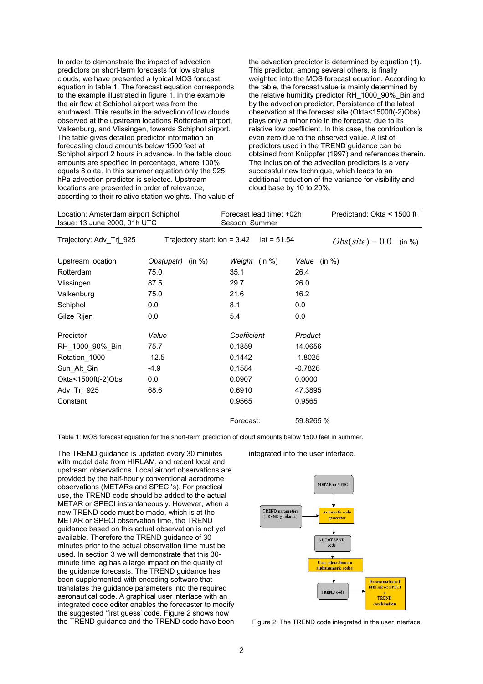In order to demonstrate the impact of advection predictors on short-term forecasts for low stratus clouds, we have presented a typical MOS forecast equation in table 1. The forecast equation corresponds to the example illustrated in figure 1. In the example the air flow at Schiphol airport was from the southwest. This results in the advection of low clouds observed at the upstream locations Rotterdam airport, Valkenburg, and Vlissingen, towards Schiphol airport. The table gives detailed predictor information on forecasting cloud amounts below 1500 feet at Schiphol airport 2 hours in advance. In the table cloud amounts are specified in percentage, where 100% equals 8 okta. In this summer equation only the 925 hPa advection predictor is selected. Upstream locations are presented in order of relevance, according to their relative station weights. The value of the advection predictor is determined by equation (1). This predictor, among several others, is finally weighted into the MOS forecast equation. According to the table, the forecast value is mainly determined by the relative humidity predictor RH\_1000\_90%\_Bin and by the advection predictor. Persistence of the latest observation at the forecast site (Okta<1500ft(-2)Obs), plays only a minor role in the forecast, due to its relative low coefficient. In this case, the contribution is even zero due to the observed value. A list of predictors used in the TREND guidance can be obtained from Knüppfer (1997) and references therein. The inclusion of the advection predictors is a very successful new technique, which leads to an additional reduction of the variance for visibility and cloud base by 10 to 20%.

| Location: Amsterdam airport Schiphol<br>Issue: 13 June 2000, 01h UTC |                                | Forecast lead time: +02h<br>Season: Summer |                  | Predictand: Okta < 1500 ft |        |
|----------------------------------------------------------------------|--------------------------------|--------------------------------------------|------------------|----------------------------|--------|
| Trajectory: Adv Trj 925                                              | Trajectory start: Ion = $3.42$ | $lat = 51.54$                              |                  | $Obs(\textit{site}) = 0.0$ | (in %) |
| Upstream location                                                    | Obs(upstr)<br>(in %)           | Weight (in %)                              | Value (in $\%$ ) |                            |        |
| Rotterdam                                                            | 75.0                           | 35.1                                       | 26.4             |                            |        |
| Vlissingen                                                           | 87.5                           | 29.7                                       | 26.0             |                            |        |
| Valkenburg                                                           | 75.0                           | 21.6                                       | 16.2             |                            |        |
| Schiphol                                                             | 0.0                            | 8.1                                        | 0.0              |                            |        |
| Gilze Rijen                                                          | 0.0                            | 5.4                                        | 0.0              |                            |        |
| Predictor                                                            | Value                          | Coefficient                                | Product          |                            |        |
| RH_1000_90%_Bin                                                      | 75.7                           | 0.1859                                     | 14.0656          |                            |        |
| Rotation 1000                                                        | $-12.5$                        | 0.1442                                     | $-1.8025$        |                            |        |
| Sun_Alt_Sin                                                          | $-4.9$                         | 0.1584                                     | $-0.7826$        |                            |        |
| Okta<1500ft(-2)Obs                                                   | 0.0                            | 0.0907                                     | 0.0000           |                            |        |
| Adv Trj 925                                                          | 68.6                           | 0.6910                                     | 47.3895          |                            |        |
| Constant                                                             |                                | 0.9565                                     | 0.9565           |                            |        |
|                                                                      |                                | Forecast:                                  | 59.8265 %        |                            |        |

Table 1: MOS forecast equation for the short-term prediction of cloud amounts below 1500 feet in summer.

The TREND guidance is updated every 30 minutes with model data from HIRLAM, and recent local and upstream observations. Local airport observations are provided by the half-hourly conventional aerodrome observations (METARs and SPECI's). For practical use, the TREND code should be added to the actual METAR or SPECI instantaneously. However, when a new TREND code must be made, which is at the METAR or SPECI observation time, the TREND guidance based on this actual observation is not yet available. Therefore the TREND guidance of 30 minutes prior to the actual observation time must be used. In section 3 we will demonstrate that this 30 minute time lag has a large impact on the quality of the guidance forecasts. The TREND guidance has been supplemented with encoding software that translates the guidance parameters into the required aeronautical code. A graphical user interface with an integrated code editor enables the forecaster to modify the suggested 'first guess' code. Figure 2 shows how the TREND guidance and the TREND code have been integrated into the user interface.



Figure 2: The TREND code integrated in the user interface.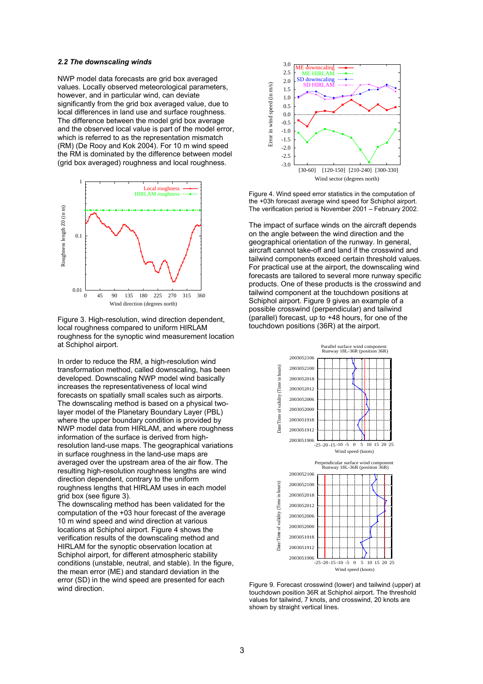### *2.2 The downscaling winds*

NWP model data forecasts are grid box averaged values. Locally observed meteorological parameters, however, and in particular wind, can deviate significantly from the grid box averaged value, due to local differences in land use and surface roughness. The difference between the model grid box average and the observed local value is part of the model error, which is referred to as the representation mismatch (RM) (De Rooy and Kok 2004). For 10 m wind speed the RM is dominated by the difference between model (grid box averaged) roughness and local roughness.



Figure 3. High-resolution, wind direction dependent, local roughness compared to uniform HIRLAM roughness for the synoptic wind measurement location at Schiphol airport.

In order to reduce the RM, a high-resolution wind transformation method, called downscaling, has been developed. Downscaling NWP model wind basically increases the representativeness of local wind forecasts on spatially small scales such as airports. The downscaling method is based on a physical twolayer model of the Planetary Boundary Layer (PBL) where the upper boundary condition is provided by NWP model data from HIRLAM, and where roughness information of the surface is derived from highresolution land-use maps. The geographical variations in surface roughness in the land-use maps are averaged over the upstream area of the air flow. The resulting high-resolution roughness lengths are wind direction dependent, contrary to the uniform roughness lengths that HIRLAM uses in each model grid box (see figure 3).

The downscaling method has been validated for the computation of the +03 hour forecast of the average 10 m wind speed and wind direction at various locations at Schiphol airport. Figure 4 shows the verification results of the downscaling method and HIRLAM for the synoptic observation location at Schiphol airport, for different atmospheric stability conditions (unstable, neutral, and stable). In the figure, the mean error (ME) and standard deviation in the error (SD) in the wind speed are presented for each wind direction.



Figure 4. Wind speed error statistics in the computation of the +03h forecast average wind speed for Schiphol airport. The verification period is November 2001 – February 2002.

The impact of surface winds on the aircraft depends on the angle between the wind direction and the geographical orientation of the runway. In general, aircraft cannot take-off and land if the crosswind and tailwind components exceed certain threshold values. For practical use at the airport, the downscaling wind forecasts are tailored to several more runway specific products. One of these products is the crosswind and tailwind component at the touchdown positions at Schiphol airport. Figure 9 gives an example of a possible crosswind (perpendicular) and tailwind (parallel) forecast, up to +48 hours, for one of the touchdown positions (36R) at the airport.



Figure 9. Forecast crosswind (lower) and tailwind (upper) at touchdown position 36R at Schiphol airport. The threshold values for tailwind, 7 knots, and crosswind, 20 knots are shown by straight vertical lines.